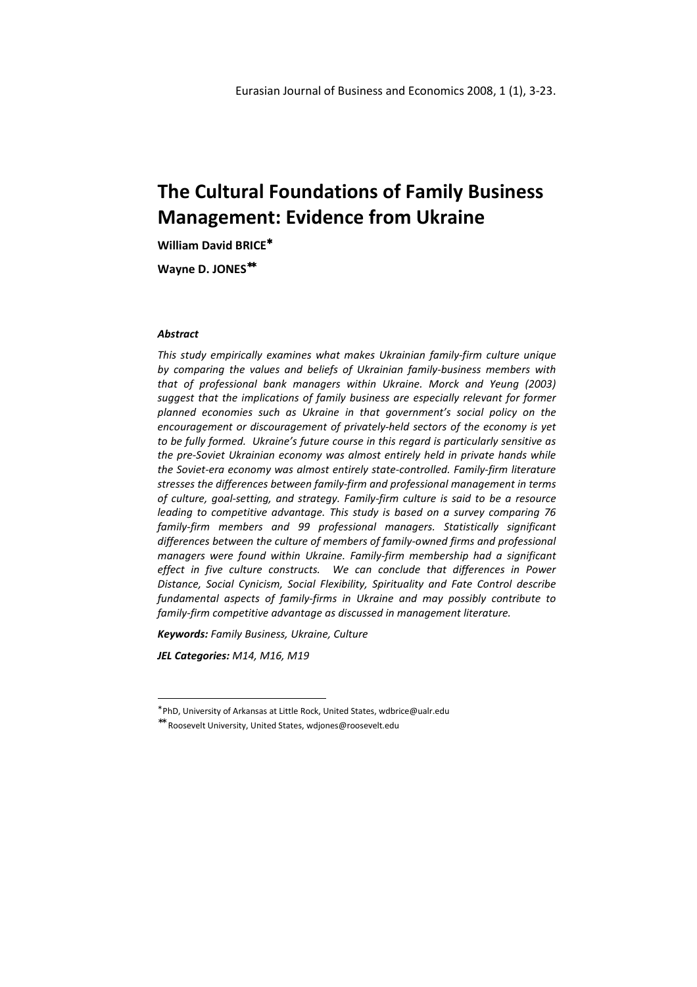William David BRICE<sup>\*</sup>

Wayne D. JONES<sup>\*\*</sup>

### **Abstract**

This study empirically examines what makes Ukrainian family-firm culture unique by comparing the values and beliefs of Ukrainian family-business members with that of professional bank managers within Ukraine. Morck and Yeung (2003) suggest that the implications of family business are especially relevant for former planned economies such as Ukraine in that government's social policy on the encouragement or discouragement of privately-held sectors of the economy is yet to be fully formed. Ukraine's future course in this regard is particularly sensitive as the pre-Soviet Ukrainian economy was almost entirely held in private hands while the Soviet-era economy was almost entirely state-controlled. Family-firm literature stresses the differences between family-firm and professional management in terms of culture, goal-setting, and strategy. Family-firm culture is said to be a resource leading to competitive advantage. This study is based on a survey comparing 76 family-firm members and 99 professional managers. Statistically significant differences between the culture of members of family-owned firms and professional managers were found within Ukraine. Family-firm membership had a significant effect in five culture constructs. We can conclude that differences in Power Distance, Social Cynicism, Social Flexibility, Spirituality and Fate Control describe fundamental aspects of family-firms in Ukraine and may possibly contribute to family-firm competitive advantage as discussed in management literature.

Keywords: Family Business, Ukraine, Culture

JEL Categories: M14, M16, M19

l

<sup>∗</sup> PhD, University of Arkansas at Little Rock, United States, wdbrice@ualr.edu

<sup>∗∗</sup> Roosevelt University, United States, wdjones@roosevelt.edu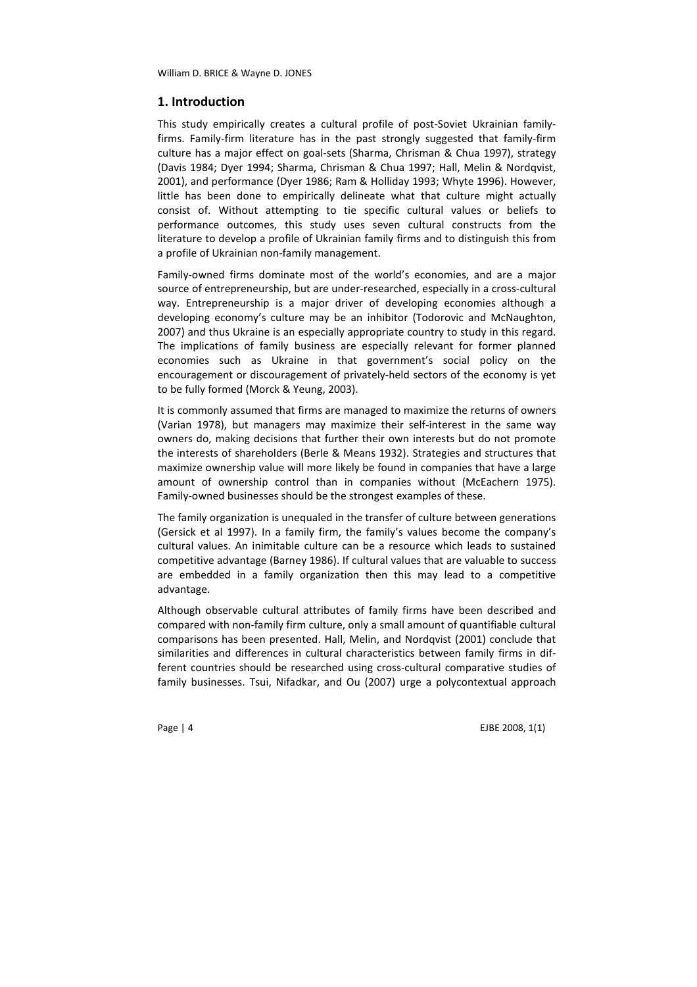# 1. Introduction

This study empirically creates a cultural profile of post-Soviet Ukrainian familyfirms. Family-firm literature has in the past strongly suggested that family-firm culture has a major effect on goal-sets (Sharma, Chrisman & Chua 1997), strategy (Davis 1984; Dyer 1994; Sharma, Chrisman & Chua 1997; Hall, Melin & Nordqvist, 2001), and performance (Dyer 1986; Ram & Holliday 1993; Whyte 1996). However, little has been done to empirically delineate what that culture might actually consist of. Without attempting to tie specific cultural values or beliefs to performance outcomes, this study uses seven cultural constructs from the literature to develop a profile of Ukrainian family firms and to distinguish this from a profile of Ukrainian non-family management.

Family-owned firms dominate most of the world's economies, and are a major source of entrepreneurship, but are under-researched, especially in a cross-cultural way. Entrepreneurship is a major driver of developing economies although a developing economy's culture may be an inhibitor (Todorovic and McNaughton, 2007) and thus Ukraine is an especially appropriate country to study in this regard. The implications of family business are especially relevant for former planned economies such as Ukraine in that government's social policy on the encouragement or discouragement of privately-held sectors of the economy is yet to be fully formed (Morck & Yeung, 2003).

It is commonly assumed that firms are managed to maximize the returns of owners (Varian 1978), but managers may maximize their self-interest in the same way owners do, making decisions that further their own interests but do not promote the interests of shareholders (Berle & Means 1932). Strategies and structures that maximize ownership value will more likely be found in companies that have a large amount of ownership control than in companies without (McEachern 1975). Family-owned businesses should be the strongest examples of these.

The family organization is unequaled in the transfer of culture between generations (Gersick et al 1997). In a family firm, the family's values become the company's cultural values. An inimitable culture can be a resource which leads to sustained competitive advantage (Barney 1986). If cultural values that are valuable to success are embedded in a family organization then this may lead to a competitive advantage.

Although observable cultural attributes of family firms have been described and compared with non-family firm culture, only a small amount of quantifiable cultural comparisons has been presented. Hall, Melin, and Nordqvist (2001) conclude that similarities and differences in cultural characteristics between family firms in different countries should be researched using cross-cultural comparative studies of family businesses. Tsui, Nifadkar, and Ou (2007) urge a polycontextual approach

Page | 4 EJBE 2008, 1(1)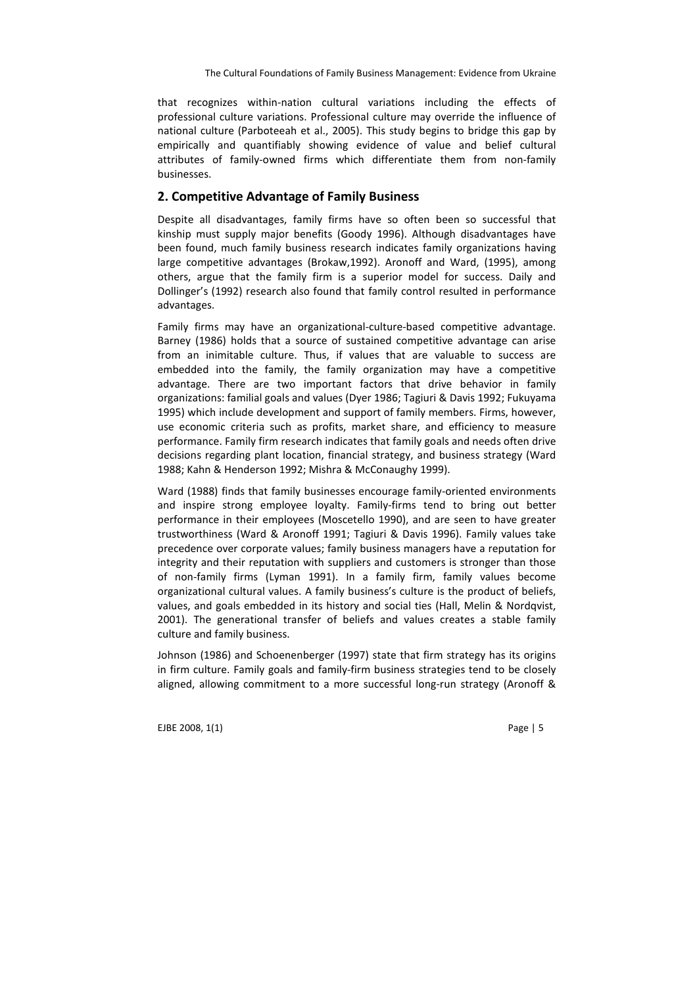that recognizes within-nation cultural variations including the effects of professional culture variations. Professional culture may override the influence of national culture (Parboteeah et al., 2005). This study begins to bridge this gap by empirically and quantifiably showing evidence of value and belief cultural attributes of family-owned firms which differentiate them from non-family businesses.

### 2. Competitive Advantage of Family Business

Despite all disadvantages, family firms have so often been so successful that kinship must supply major benefits (Goody 1996). Although disadvantages have been found, much family business research indicates family organizations having large competitive advantages (Brokaw,1992). Aronoff and Ward, (1995), among others, argue that the family firm is a superior model for success. Daily and Dollinger's (1992) research also found that family control resulted in performance advantages.

Family firms may have an organizational-culture-based competitive advantage. Barney (1986) holds that a source of sustained competitive advantage can arise from an inimitable culture. Thus, if values that are valuable to success are embedded into the family, the family organization may have a competitive advantage. There are two important factors that drive behavior in family organizations: familial goals and values (Dyer 1986; Tagiuri & Davis 1992; Fukuyama 1995) which include development and support of family members. Firms, however, use economic criteria such as profits, market share, and efficiency to measure performance. Family firm research indicates that family goals and needs often drive decisions regarding plant location, financial strategy, and business strategy (Ward 1988; Kahn & Henderson 1992; Mishra & McConaughy 1999).

Ward (1988) finds that family businesses encourage family-oriented environments and inspire strong employee loyalty. Family-firms tend to bring out better performance in their employees (Moscetello 1990), and are seen to have greater trustworthiness (Ward & Aronoff 1991; Tagiuri & Davis 1996). Family values take precedence over corporate values; family business managers have a reputation for integrity and their reputation with suppliers and customers is stronger than those of non-family firms (Lyman 1991). In a family firm, family values become organizational cultural values. A family business's culture is the product of beliefs, values, and goals embedded in its history and social ties (Hall, Melin & Nordqvist, 2001). The generational transfer of beliefs and values creates a stable family culture and family business.

Johnson (1986) and Schoenenberger (1997) state that firm strategy has its origins in firm culture. Family goals and family-firm business strategies tend to be closely aligned, allowing commitment to a more successful long-run strategy (Aronoff &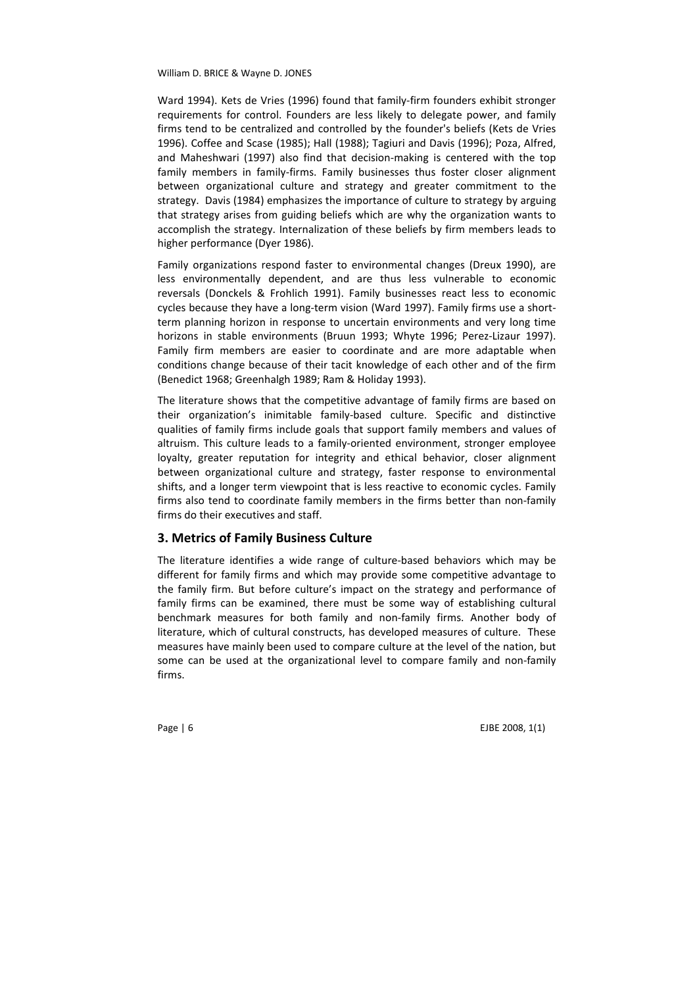Ward 1994). Kets de Vries (1996) found that family-firm founders exhibit stronger requirements for control. Founders are less likely to delegate power, and family firms tend to be centralized and controlled by the founder's beliefs (Kets de Vries 1996). Coffee and Scase (1985); Hall (1988); Tagiuri and Davis (1996); Poza, Alfred, and Maheshwari (1997) also find that decision-making is centered with the top family members in family-firms. Family businesses thus foster closer alignment between organizational culture and strategy and greater commitment to the strategy. Davis (1984) emphasizes the importance of culture to strategy by arguing that strategy arises from guiding beliefs which are why the organization wants to accomplish the strategy. Internalization of these beliefs by firm members leads to higher performance (Dyer 1986).

Family organizations respond faster to environmental changes (Dreux 1990), are less environmentally dependent, and are thus less vulnerable to economic reversals (Donckels & Frohlich 1991). Family businesses react less to economic cycles because they have a long-term vision (Ward 1997). Family firms use a shortterm planning horizon in response to uncertain environments and very long time horizons in stable environments (Bruun 1993; Whyte 1996; Perez-Lizaur 1997). Family firm members are easier to coordinate and are more adaptable when conditions change because of their tacit knowledge of each other and of the firm (Benedict 1968; Greenhalgh 1989; Ram & Holiday 1993).

The literature shows that the competitive advantage of family firms are based on their organization's inimitable family-based culture. Specific and distinctive qualities of family firms include goals that support family members and values of altruism. This culture leads to a family-oriented environment, stronger employee loyalty, greater reputation for integrity and ethical behavior, closer alignment between organizational culture and strategy, faster response to environmental shifts, and a longer term viewpoint that is less reactive to economic cycles. Family firms also tend to coordinate family members in the firms better than non-family firms do their executives and staff.

# 3. Metrics of Family Business Culture

The literature identifies a wide range of culture-based behaviors which may be different for family firms and which may provide some competitive advantage to the family firm. But before culture's impact on the strategy and performance of family firms can be examined, there must be some way of establishing cultural benchmark measures for both family and non-family firms. Another body of literature, which of cultural constructs, has developed measures of culture. These measures have mainly been used to compare culture at the level of the nation, but some can be used at the organizational level to compare family and non-family firms.

Page | 6 EJBE 2008, 1(1)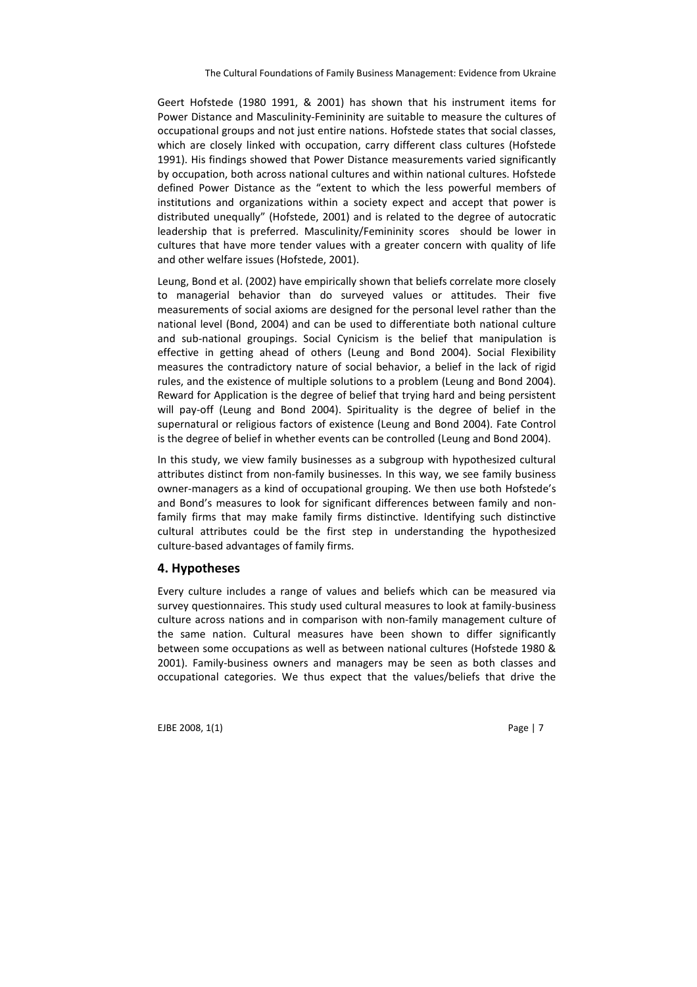Geert Hofstede (1980 1991, & 2001) has shown that his instrument items for Power Distance and Masculinity-Femininity are suitable to measure the cultures of occupational groups and not just entire nations. Hofstede states that social classes, which are closely linked with occupation, carry different class cultures (Hofstede 1991). His findings showed that Power Distance measurements varied significantly by occupation, both across national cultures and within national cultures. Hofstede defined Power Distance as the "extent to which the less powerful members of institutions and organizations within a society expect and accept that power is distributed unequally" (Hofstede, 2001) and is related to the degree of autocratic leadership that is preferred. Masculinity/Femininity scores should be lower in cultures that have more tender values with a greater concern with quality of life and other welfare issues (Hofstede, 2001).

Leung, Bond et al. (2002) have empirically shown that beliefs correlate more closely to managerial behavior than do surveyed values or attitudes. Their five measurements of social axioms are designed for the personal level rather than the national level (Bond, 2004) and can be used to differentiate both national culture and sub-national groupings. Social Cynicism is the belief that manipulation is effective in getting ahead of others (Leung and Bond 2004). Social Flexibility measures the contradictory nature of social behavior, a belief in the lack of rigid rules, and the existence of multiple solutions to a problem (Leung and Bond 2004). Reward for Application is the degree of belief that trying hard and being persistent will pay-off (Leung and Bond 2004). Spirituality is the degree of belief in the supernatural or religious factors of existence (Leung and Bond 2004). Fate Control is the degree of belief in whether events can be controlled (Leung and Bond 2004).

In this study, we view family businesses as a subgroup with hypothesized cultural attributes distinct from non-family businesses. In this way, we see family business owner-managers as a kind of occupational grouping. We then use both Hofstede's and Bond's measures to look for significant differences between family and nonfamily firms that may make family firms distinctive. Identifying such distinctive cultural attributes could be the first step in understanding the hypothesized culture-based advantages of family firms.

# 4. Hypotheses

Every culture includes a range of values and beliefs which can be measured via survey questionnaires. This study used cultural measures to look at family-business culture across nations and in comparison with non-family management culture of the same nation. Cultural measures have been shown to differ significantly between some occupations as well as between national cultures (Hofstede 1980 & 2001). Family-business owners and managers may be seen as both classes and occupational categories. We thus expect that the values/beliefs that drive the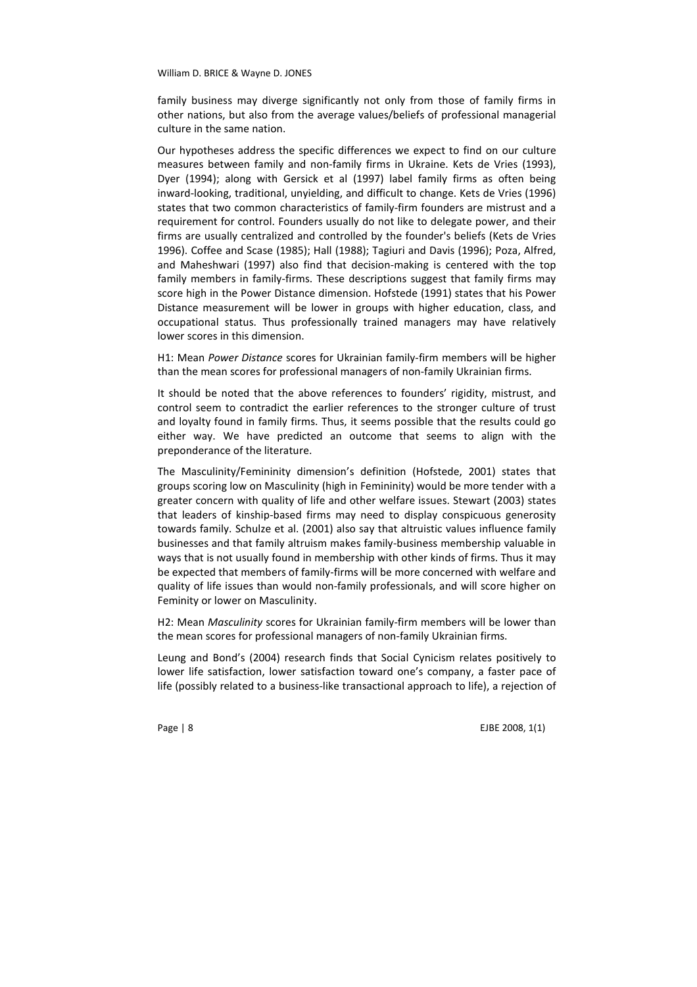family business may diverge significantly not only from those of family firms in other nations, but also from the average values/beliefs of professional managerial culture in the same nation.

Our hypotheses address the specific differences we expect to find on our culture measures between family and non-family firms in Ukraine. Kets de Vries (1993), Dyer (1994); along with Gersick et al (1997) label family firms as often being inward-looking, traditional, unyielding, and difficult to change. Kets de Vries (1996) states that two common characteristics of family-firm founders are mistrust and a requirement for control. Founders usually do not like to delegate power, and their firms are usually centralized and controlled by the founder's beliefs (Kets de Vries 1996). Coffee and Scase (1985); Hall (1988); Tagiuri and Davis (1996); Poza, Alfred, and Maheshwari (1997) also find that decision-making is centered with the top family members in family-firms. These descriptions suggest that family firms may score high in the Power Distance dimension. Hofstede (1991) states that his Power Distance measurement will be lower in groups with higher education, class, and occupational status. Thus professionally trained managers may have relatively lower scores in this dimension.

H1: Mean Power Distance scores for Ukrainian family-firm members will be higher than the mean scores for professional managers of non-family Ukrainian firms.

It should be noted that the above references to founders' rigidity, mistrust, and control seem to contradict the earlier references to the stronger culture of trust and loyalty found in family firms. Thus, it seems possible that the results could go either way. We have predicted an outcome that seems to align with the preponderance of the literature.

The Masculinity/Femininity dimension's definition (Hofstede, 2001) states that groups scoring low on Masculinity (high in Femininity) would be more tender with a greater concern with quality of life and other welfare issues. Stewart (2003) states that leaders of kinship-based firms may need to display conspicuous generosity towards family. Schulze et al. (2001) also say that altruistic values influence family businesses and that family altruism makes family-business membership valuable in ways that is not usually found in membership with other kinds of firms. Thus it may be expected that members of family-firms will be more concerned with welfare and quality of life issues than would non-family professionals, and will score higher on Feminity or lower on Masculinity.

H2: Mean Masculinity scores for Ukrainian family-firm members will be lower than the mean scores for professional managers of non-family Ukrainian firms.

Leung and Bond's (2004) research finds that Social Cynicism relates positively to lower life satisfaction, lower satisfaction toward one's company, a faster pace of life (possibly related to a business-like transactional approach to life), a rejection of

Page | 8 EJBE 2008, 1(1)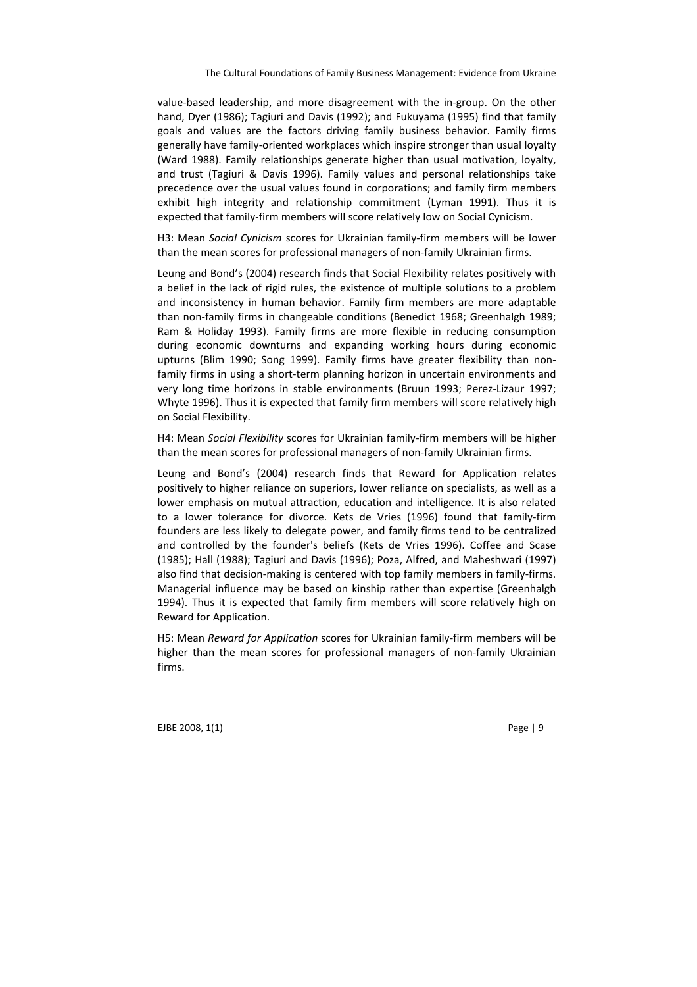value-based leadership, and more disagreement with the in-group. On the other hand, Dyer (1986); Tagiuri and Davis (1992); and Fukuyama (1995) find that family goals and values are the factors driving family business behavior. Family firms generally have family-oriented workplaces which inspire stronger than usual loyalty (Ward 1988). Family relationships generate higher than usual motivation, loyalty, and trust (Tagiuri & Davis 1996). Family values and personal relationships take precedence over the usual values found in corporations; and family firm members exhibit high integrity and relationship commitment (Lyman 1991). Thus it is expected that family-firm members will score relatively low on Social Cynicism.

H3: Mean Social Cynicism scores for Ukrainian family-firm members will be lower than the mean scores for professional managers of non-family Ukrainian firms.

Leung and Bond's (2004) research finds that Social Flexibility relates positively with a belief in the lack of rigid rules, the existence of multiple solutions to a problem and inconsistency in human behavior. Family firm members are more adaptable than non-family firms in changeable conditions (Benedict 1968; Greenhalgh 1989; Ram & Holiday 1993). Family firms are more flexible in reducing consumption during economic downturns and expanding working hours during economic upturns (Blim 1990; Song 1999). Family firms have greater flexibility than nonfamily firms in using a short-term planning horizon in uncertain environments and very long time horizons in stable environments (Bruun 1993; Perez-Lizaur 1997; Whyte 1996). Thus it is expected that family firm members will score relatively high on Social Flexibility.

H4: Mean Social Flexibility scores for Ukrainian family-firm members will be higher than the mean scores for professional managers of non-family Ukrainian firms.

Leung and Bond's (2004) research finds that Reward for Application relates positively to higher reliance on superiors, lower reliance on specialists, as well as a lower emphasis on mutual attraction, education and intelligence. It is also related to a lower tolerance for divorce. Kets de Vries (1996) found that family-firm founders are less likely to delegate power, and family firms tend to be centralized and controlled by the founder's beliefs (Kets de Vries 1996). Coffee and Scase (1985); Hall (1988); Tagiuri and Davis (1996); Poza, Alfred, and Maheshwari (1997) also find that decision-making is centered with top family members in family-firms. Managerial influence may be based on kinship rather than expertise (Greenhalgh 1994). Thus it is expected that family firm members will score relatively high on Reward for Application.

H5: Mean Reward for Application scores for Ukrainian family-firm members will be higher than the mean scores for professional managers of non-family Ukrainian firms.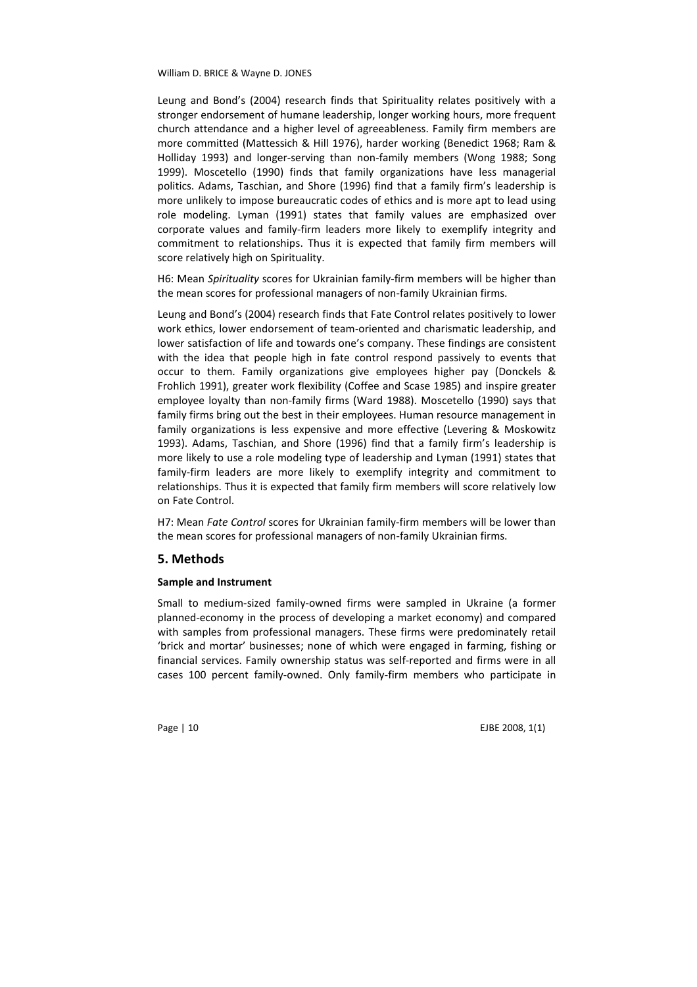Leung and Bond's (2004) research finds that Spirituality relates positively with a stronger endorsement of humane leadership, longer working hours, more frequent church attendance and a higher level of agreeableness. Family firm members are more committed (Mattessich & Hill 1976), harder working (Benedict 1968; Ram & Holliday 1993) and longer-serving than non-family members (Wong 1988; Song 1999). Moscetello (1990) finds that family organizations have less managerial politics. Adams, Taschian, and Shore (1996) find that a family firm's leadership is more unlikely to impose bureaucratic codes of ethics and is more apt to lead using role modeling. Lyman (1991) states that family values are emphasized over corporate values and family-firm leaders more likely to exemplify integrity and commitment to relationships. Thus it is expected that family firm members will score relatively high on Spirituality.

H6: Mean Spirituality scores for Ukrainian family-firm members will be higher than the mean scores for professional managers of non-family Ukrainian firms.

Leung and Bond's (2004) research finds that Fate Control relates positively to lower work ethics, lower endorsement of team-oriented and charismatic leadership, and lower satisfaction of life and towards one's company. These findings are consistent with the idea that people high in fate control respond passively to events that occur to them. Family organizations give employees higher pay (Donckels & Frohlich 1991), greater work flexibility (Coffee and Scase 1985) and inspire greater employee loyalty than non-family firms (Ward 1988). Moscetello (1990) says that family firms bring out the best in their employees. Human resource management in family organizations is less expensive and more effective (Levering & Moskowitz 1993). Adams, Taschian, and Shore (1996) find that a family firm's leadership is more likely to use a role modeling type of leadership and Lyman (1991) states that family-firm leaders are more likely to exemplify integrity and commitment to relationships. Thus it is expected that family firm members will score relatively low on Fate Control.

H7: Mean Fate Control scores for Ukrainian family-firm members will be lower than the mean scores for professional managers of non-family Ukrainian firms.

# 5. Methods

### Sample and Instrument

Small to medium-sized family-owned firms were sampled in Ukraine (a former planned-economy in the process of developing a market economy) and compared with samples from professional managers. These firms were predominately retail 'brick and mortar' businesses; none of which were engaged in farming, fishing or financial services. Family ownership status was self-reported and firms were in all cases 100 percent family-owned. Only family-firm members who participate in

Page | 10 EJBE 2008, 1(1)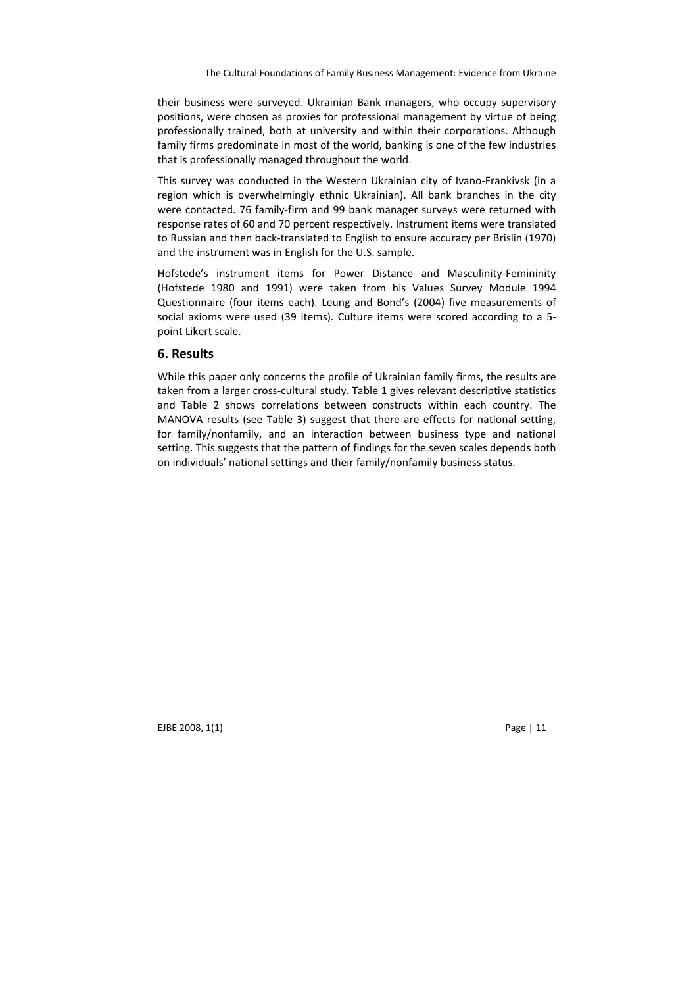their business were surveyed. Ukrainian Bank managers, who occupy supervisory positions, were chosen as proxies for professional management by virtue of being professionally trained, both at university and within their corporations. Although family firms predominate in most of the world, banking is one of the few industries that is professionally managed throughout the world.

This survey was conducted in the Western Ukrainian city of Ivano-Frankivsk (in a region which is overwhelmingly ethnic Ukrainian). All bank branches in the city were contacted. 76 family-firm and 99 bank manager surveys were returned with response rates of 60 and 70 percent respectively. Instrument items were translated to Russian and then back-translated to English to ensure accuracy per Brislin (1970) and the instrument was in English for the U.S. sample.

Hofstede's instrument items for Power Distance and Masculinity-Femininity (Hofstede 1980 and 1991) were taken from his Values Survey Module 1994 Questionnaire (four items each). Leung and Bond's (2004) five measurements of social axioms were used (39 items). Culture items were scored according to a 5 point Likert scale.

### 6. Results

While this paper only concerns the profile of Ukrainian family firms, the results are taken from a larger cross-cultural study. Table 1 gives relevant descriptive statistics and Table 2 shows correlations between constructs within each country. The MANOVA results (see Table 3) suggest that there are effects for national setting, for family/nonfamily, and an interaction between business type and national setting. This suggests that the pattern of findings for the seven scales depends both on individuals' national settings and their family/nonfamily business status.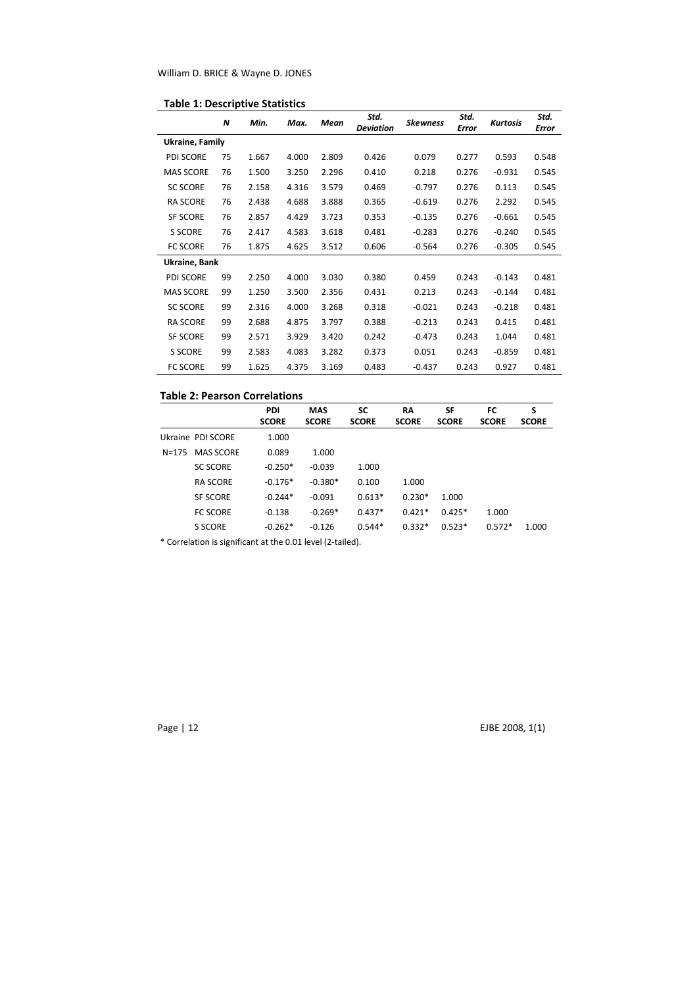|  |  |  |  | <b>Table 1: Descriptive Statistics</b> |
|--|--|--|--|----------------------------------------|
|--|--|--|--|----------------------------------------|

|                  | N  | Min.  | Max.  | Mean  | Std.<br><b>Deviation</b> | <b>Skewness</b> | Std.<br>Error | Kurtosis | Std.<br><b>Error</b> |
|------------------|----|-------|-------|-------|--------------------------|-----------------|---------------|----------|----------------------|
| Ukraine, Family  |    |       |       |       |                          |                 |               |          |                      |
| <b>PDI SCORE</b> | 75 | 1.667 | 4.000 | 2.809 | 0.426                    | 0.079           | 0.277         | 0.593    | 0.548                |
| <b>MAS SCORE</b> | 76 | 1.500 | 3.250 | 2.296 | 0.410                    | 0.218           | 0.276         | $-0.931$ | 0.545                |
| <b>SC SCORE</b>  | 76 | 2.158 | 4.316 | 3.579 | 0.469                    | $-0.797$        | 0.276         | 0.113    | 0.545                |
| <b>RA SCORE</b>  | 76 | 2.438 | 4.688 | 3.888 | 0.365                    | $-0.619$        | 0.276         | 2.292    | 0.545                |
| <b>SF SCORE</b>  | 76 | 2.857 | 4.429 | 3.723 | 0.353                    | $-0.135$        | 0.276         | $-0.661$ | 0.545                |
| S SCORE          | 76 | 2.417 | 4.583 | 3.618 | 0.481                    | $-0.283$        | 0.276         | $-0.240$ | 0.545                |
| <b>FC SCORE</b>  | 76 | 1.875 | 4.625 | 3.512 | 0.606                    | $-0.564$        | 0.276         | $-0.305$ | 0.545                |
| Ukraine, Bank    |    |       |       |       |                          |                 |               |          |                      |
| PDI SCORE        | 99 | 2.250 | 4.000 | 3.030 | 0.380                    | 0.459           | 0.243         | $-0.143$ | 0.481                |
| <b>MAS SCORE</b> | 99 | 1.250 | 3.500 | 2.356 | 0.431                    | 0.213           | 0.243         | $-0.144$ | 0.481                |
| <b>SC SCORE</b>  | 99 | 2.316 | 4.000 | 3.268 | 0.318                    | $-0.021$        | 0.243         | $-0.218$ | 0.481                |
| <b>RA SCORE</b>  | 99 | 2.688 | 4.875 | 3.797 | 0.388                    | $-0.213$        | 0.243         | 0.415    | 0.481                |
| <b>SF SCORE</b>  | 99 | 2.571 | 3.929 | 3.420 | 0.242                    | $-0.473$        | 0.243         | 1.044    | 0.481                |
| <b>S SCORE</b>   | 99 | 2.583 | 4.083 | 3.282 | 0.373                    | 0.051           | 0.243         | $-0.859$ | 0.481                |
| <b>FC SCORE</b>  | 99 | 1.625 | 4.375 | 3.169 | 0.483                    | $-0.437$        | 0.243         | 0.927    | 0.481                |

# Table 2: Pearson Correlations

|       |                   | <b>PDI</b><br><b>SCORE</b> | <b>MAS</b><br><b>SCORE</b> | SC<br><b>SCORE</b> | <b>RA</b><br><b>SCORE</b> | SF<br><b>SCORE</b> | FC<br><b>SCORE</b> | s<br><b>SCORE</b> |
|-------|-------------------|----------------------------|----------------------------|--------------------|---------------------------|--------------------|--------------------|-------------------|
|       | Ukraine PDI SCORE | 1.000                      |                            |                    |                           |                    |                    |                   |
| N=175 | <b>MAS SCORE</b>  | 0.089                      | 1.000                      |                    |                           |                    |                    |                   |
|       | <b>SC SCORE</b>   | $-0.250*$                  | $-0.039$                   | 1.000              |                           |                    |                    |                   |
|       | <b>RA SCORE</b>   | $-0.176*$                  | $-0.380*$                  | 0.100              | 1.000                     |                    |                    |                   |
|       | <b>SF SCORE</b>   | $-0.244*$                  | $-0.091$                   | $0.613*$           | $0.230*$                  | 1.000              |                    |                   |
|       | <b>FC SCORE</b>   | $-0.138$                   | $-0.269*$                  | $0.437*$           | $0.421*$                  | $0.425*$           | 1.000              |                   |
|       | S SCORE           | $-0.262*$                  | $-0.126$                   | $0.544*$           | $0.332*$                  | $0.523*$           | $0.572*$           | 1.000             |

\* Correlation is significant at the 0.01 level (2-tailed).

Page | 12 EJBE 2008, 1(1)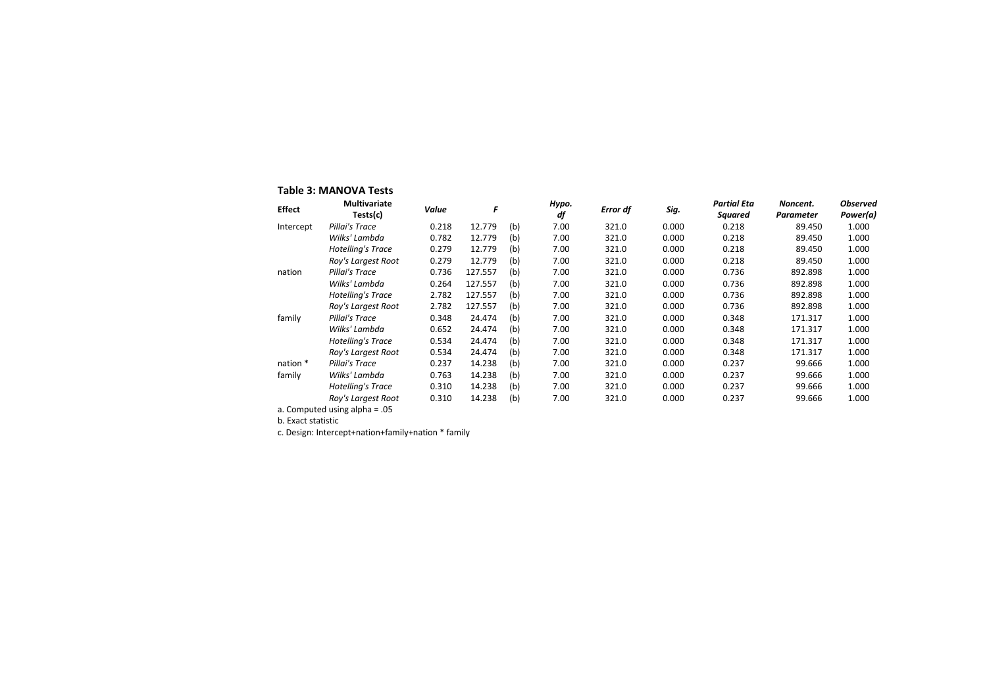### Table 3: MANOVA Tests

| <b>Effect</b>                   | <b>Multivariate</b>      | Value | F       | Hypo.<br>df |      | Error df | Sig.  | <b>Partial Eta</b> | Noncent.  | <b>Observed</b> |
|---------------------------------|--------------------------|-------|---------|-------------|------|----------|-------|--------------------|-----------|-----------------|
|                                 | Tests(c)                 |       |         |             |      |          |       | Squared            | Parameter | Power(a)        |
| Intercept                       | Pillai's Trace           | 0.218 | 12.779  | (b)         | 7.00 | 321.0    | 0.000 | 0.218              | 89.450    | 1.000           |
|                                 | Wilks' Lambda            | 0.782 | 12.779  | (b)         | 7.00 | 321.0    | 0.000 | 0.218              | 89.450    | 1.000           |
|                                 | <b>Hotelling's Trace</b> | 0.279 | 12.779  | (b)         | 7.00 | 321.0    | 0.000 | 0.218              | 89.450    | 1.000           |
|                                 | Roy's Largest Root       | 0.279 | 12.779  | (b)         | 7.00 | 321.0    | 0.000 | 0.218              | 89.450    | 1.000           |
| nation                          | Pillai's Trace           | 0.736 | 127.557 | (b)         | 7.00 | 321.0    | 0.000 | 0.736              | 892.898   | 1.000           |
|                                 | Wilks' Lambda            | 0.264 | 127.557 | (b)         | 7.00 | 321.0    | 0.000 | 0.736              | 892.898   | 1.000           |
|                                 | Hotelling's Trace        | 2.782 | 127.557 | (b)         | 7.00 | 321.0    | 0.000 | 0.736              | 892.898   | 1.000           |
|                                 | Roy's Largest Root       | 2.782 | 127.557 | (b)         | 7.00 | 321.0    | 0.000 | 0.736              | 892.898   | 1.000           |
| family                          | Pillai's Trace           | 0.348 | 24.474  | (b)         | 7.00 | 321.0    | 0.000 | 0.348              | 171.317   | 1.000           |
|                                 | Wilks' Lambda            | 0.652 | 24.474  | (b)         | 7.00 | 321.0    | 0.000 | 0.348              | 171.317   | 1.000           |
|                                 | <b>Hotelling's Trace</b> | 0.534 | 24.474  | (b)         | 7.00 | 321.0    | 0.000 | 0.348              | 171.317   | 1.000           |
|                                 | Roy's Largest Root       | 0.534 | 24.474  | (b)         | 7.00 | 321.0    | 0.000 | 0.348              | 171.317   | 1.000           |
| nation *                        | Pillai's Trace           | 0.237 | 14.238  | (b)         | 7.00 | 321.0    | 0.000 | 0.237              | 99.666    | 1.000           |
| family                          | Wilks' Lambda            | 0.763 | 14.238  | (b)         | 7.00 | 321.0    | 0.000 | 0.237              | 99.666    | 1.000           |
|                                 | <b>Hotelling's Trace</b> | 0.310 | 14.238  | (b)         | 7.00 | 321.0    | 0.000 | 0.237              | 99.666    | 1.000           |
|                                 | Roy's Largest Root       | 0.310 | 14.238  | (b)         | 7.00 | 321.0    | 0.000 | 0.237              | 99.666    | 1.000           |
| a. Computed using alpha $= .05$ |                          |       |         |             |      |          |       |                    |           |                 |

b. Exact statistic

c. Design: Intercept+nation+family+nation \* family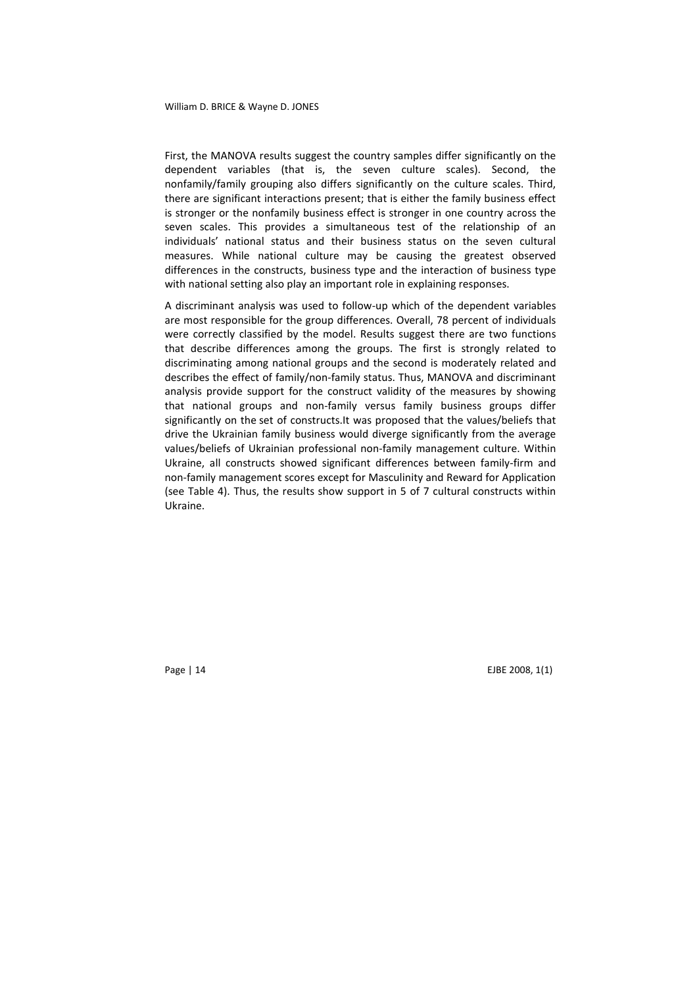First, the MANOVA results suggest the country samples differ significantly on the dependent variables (that is, the seven culture scales). Second, the nonfamily/family grouping also differs significantly on the culture scales. Third, there are significant interactions present; that is either the family business effect is stronger or the nonfamily business effect is stronger in one country across the seven scales. This provides a simultaneous test of the relationship of an individuals' national status and their business status on the seven cultural measures. While national culture may be causing the greatest observed differences in the constructs, business type and the interaction of business type with national setting also play an important role in explaining responses.

A discriminant analysis was used to follow-up which of the dependent variables are most responsible for the group differences. Overall, 78 percent of individuals were correctly classified by the model. Results suggest there are two functions that describe differences among the groups. The first is strongly related to discriminating among national groups and the second is moderately related and describes the effect of family/non-family status. Thus, MANOVA and discriminant analysis provide support for the construct validity of the measures by showing that national groups and non-family versus family business groups differ significantly on the set of constructs.It was proposed that the values/beliefs that drive the Ukrainian family business would diverge significantly from the average values/beliefs of Ukrainian professional non-family management culture. Within Ukraine, all constructs showed significant differences between family-firm and non-family management scores except for Masculinity and Reward for Application (see Table 4). Thus, the results show support in 5 of 7 cultural constructs within Ukraine.

Page | 14 EJBE 2008, 1(1)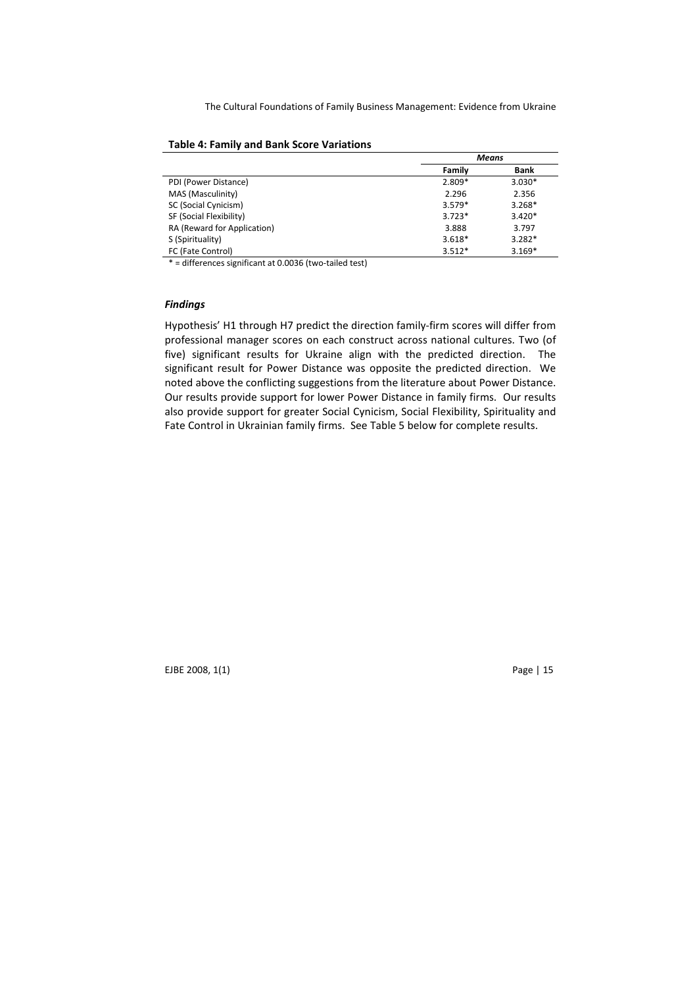|                             | Means    |          |
|-----------------------------|----------|----------|
|                             | Family   | Bank     |
| PDI (Power Distance)        | $2.809*$ | $3.030*$ |
| MAS (Masculinity)           | 2.296    | 2.356    |
| SC (Social Cynicism)        | $3.579*$ | $3.268*$ |
| SF (Social Flexibility)     | $3.723*$ | $3.420*$ |
| RA (Reward for Application) | 3.888    | 3.797    |
| S (Spirituality)            | $3.618*$ | $3.282*$ |
| FC (Fate Control)           | $3.512*$ | $3.169*$ |

### Table 4: Family and Bank Score Variations

\* = differences significant at 0.0036 (two-tailed test)

# Findings

Hypothesis' H1 through H7 predict the direction family-firm scores will differ from professional manager scores on each construct across national cultures. Two (of five) significant results for Ukraine align with the predicted direction. The significant result for Power Distance was opposite the predicted direction. We noted above the conflicting suggestions from the literature about Power Distance. Our results provide support for lower Power Distance in family firms. Our results also provide support for greater Social Cynicism, Social Flexibility, Spirituality and Fate Control in Ukrainian family firms. See Table 5 below for complete results.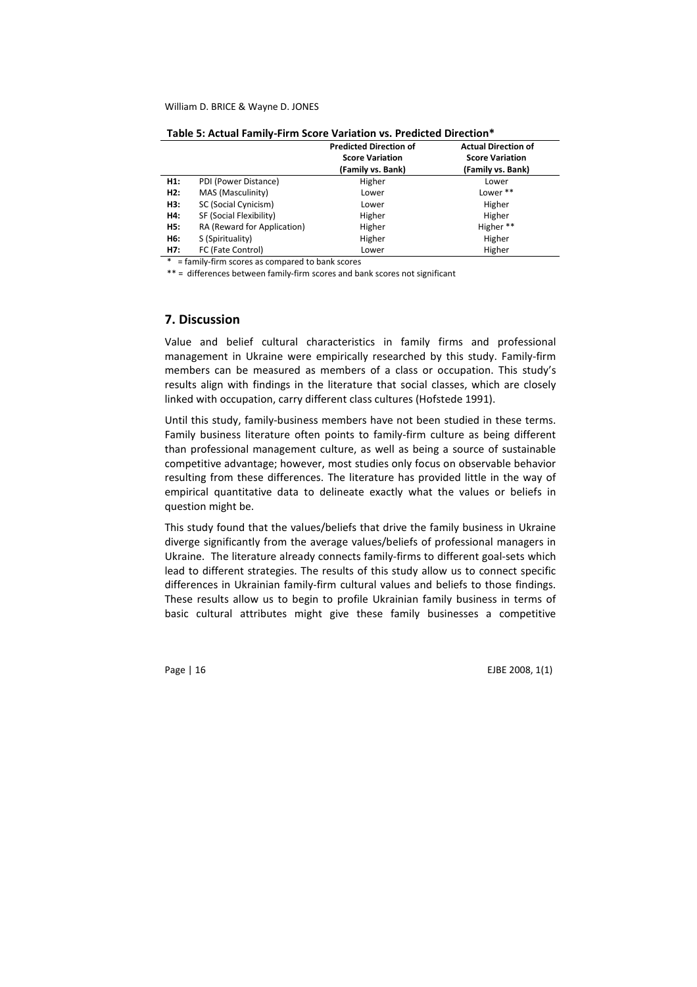|     |                             | <b>Predicted Direction of</b><br><b>Score Variation</b><br>(Family vs. Bank) | <b>Actual Direction of</b><br><b>Score Variation</b><br>(Family vs. Bank) |
|-----|-----------------------------|------------------------------------------------------------------------------|---------------------------------------------------------------------------|
| H1: | PDI (Power Distance)        | Higher                                                                       | Lower                                                                     |
| H2: | MAS (Masculinity)           | Lower                                                                        | Lower **                                                                  |
| H3: | SC (Social Cynicism)        | Lower                                                                        | Higher                                                                    |
| H4: | SF (Social Flexibility)     | Higher                                                                       | Higher                                                                    |
| H5: | RA (Reward for Application) | Higher                                                                       | Higher **                                                                 |
| H6: | S (Spirituality)            | Higher                                                                       | Higher                                                                    |
| H7: | FC (Fate Control)           | Lower                                                                        | Higher                                                                    |

Table 5: Actual Family-Firm Score Variation vs. Predicted Direction\*

\* = family-firm scores as compared to bank scores

\*\* = differences between family-firm scores and bank scores not significant

### 7. Discussion

Value and belief cultural characteristics in family firms and professional management in Ukraine were empirically researched by this study. Family-firm members can be measured as members of a class or occupation. This study's results align with findings in the literature that social classes, which are closely linked with occupation, carry different class cultures (Hofstede 1991).

Until this study, family-business members have not been studied in these terms. Family business literature often points to family-firm culture as being different than professional management culture, as well as being a source of sustainable competitive advantage; however, most studies only focus on observable behavior resulting from these differences. The literature has provided little in the way of empirical quantitative data to delineate exactly what the values or beliefs in question might be.

This study found that the values/beliefs that drive the family business in Ukraine diverge significantly from the average values/beliefs of professional managers in Ukraine. The literature already connects family-firms to different goal-sets which lead to different strategies. The results of this study allow us to connect specific differences in Ukrainian family-firm cultural values and beliefs to those findings. These results allow us to begin to profile Ukrainian family business in terms of basic cultural attributes might give these family businesses a competitive

Page | 16 EJBE 2008, 1(1)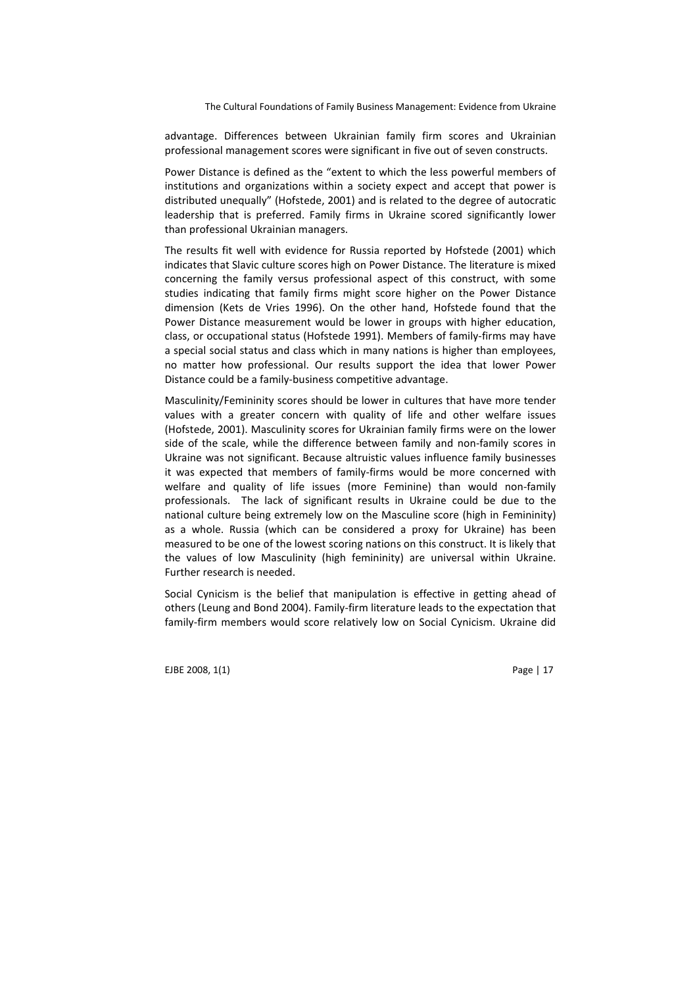advantage. Differences between Ukrainian family firm scores and Ukrainian professional management scores were significant in five out of seven constructs.

Power Distance is defined as the "extent to which the less powerful members of institutions and organizations within a society expect and accept that power is distributed unequally" (Hofstede, 2001) and is related to the degree of autocratic leadership that is preferred. Family firms in Ukraine scored significantly lower than professional Ukrainian managers.

The results fit well with evidence for Russia reported by Hofstede (2001) which indicates that Slavic culture scores high on Power Distance. The literature is mixed concerning the family versus professional aspect of this construct, with some studies indicating that family firms might score higher on the Power Distance dimension (Kets de Vries 1996). On the other hand, Hofstede found that the Power Distance measurement would be lower in groups with higher education, class, or occupational status (Hofstede 1991). Members of family-firms may have a special social status and class which in many nations is higher than employees, no matter how professional. Our results support the idea that lower Power Distance could be a family-business competitive advantage.

Masculinity/Femininity scores should be lower in cultures that have more tender values with a greater concern with quality of life and other welfare issues (Hofstede, 2001). Masculinity scores for Ukrainian family firms were on the lower side of the scale, while the difference between family and non-family scores in Ukraine was not significant. Because altruistic values influence family businesses it was expected that members of family-firms would be more concerned with welfare and quality of life issues (more Feminine) than would non-family professionals. The lack of significant results in Ukraine could be due to the national culture being extremely low on the Masculine score (high in Femininity) as a whole. Russia (which can be considered a proxy for Ukraine) has been measured to be one of the lowest scoring nations on this construct. It is likely that the values of low Masculinity (high femininity) are universal within Ukraine. Further research is needed.

Social Cynicism is the belief that manipulation is effective in getting ahead of others (Leung and Bond 2004). Family-firm literature leads to the expectation that family-firm members would score relatively low on Social Cynicism. Ukraine did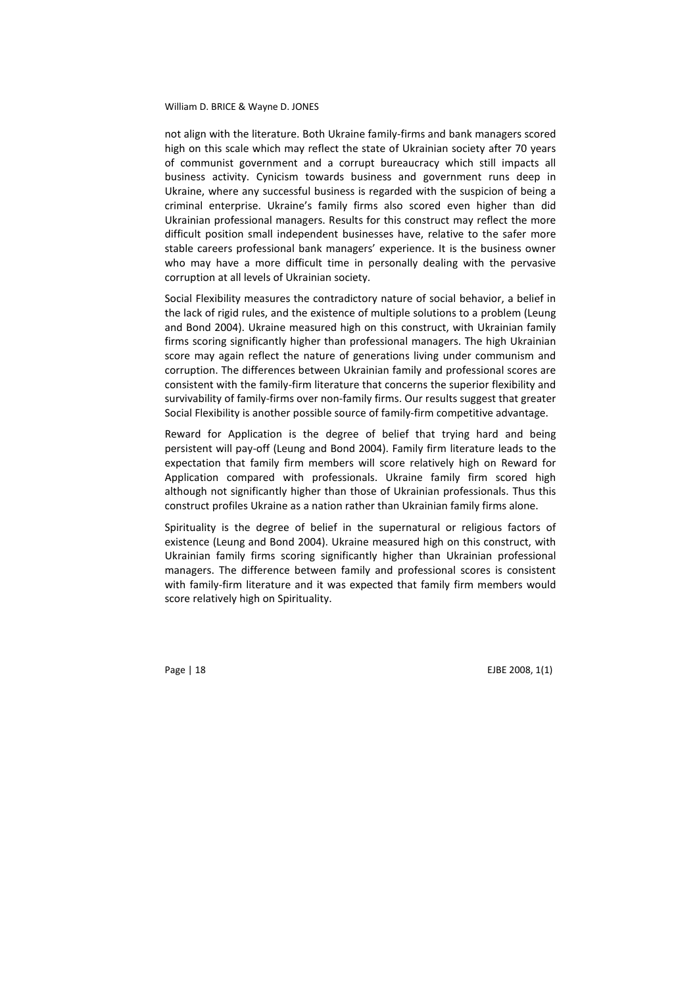not align with the literature. Both Ukraine family-firms and bank managers scored high on this scale which may reflect the state of Ukrainian society after 70 years of communist government and a corrupt bureaucracy which still impacts all business activity. Cynicism towards business and government runs deep in Ukraine, where any successful business is regarded with the suspicion of being a criminal enterprise. Ukraine's family firms also scored even higher than did Ukrainian professional managers. Results for this construct may reflect the more difficult position small independent businesses have, relative to the safer more stable careers professional bank managers' experience. It is the business owner who may have a more difficult time in personally dealing with the pervasive corruption at all levels of Ukrainian society.

Social Flexibility measures the contradictory nature of social behavior, a belief in the lack of rigid rules, and the existence of multiple solutions to a problem (Leung and Bond 2004). Ukraine measured high on this construct, with Ukrainian family firms scoring significantly higher than professional managers. The high Ukrainian score may again reflect the nature of generations living under communism and corruption. The differences between Ukrainian family and professional scores are consistent with the family-firm literature that concerns the superior flexibility and survivability of family-firms over non-family firms. Our results suggest that greater Social Flexibility is another possible source of family-firm competitive advantage.

Reward for Application is the degree of belief that trying hard and being persistent will pay-off (Leung and Bond 2004). Family firm literature leads to the expectation that family firm members will score relatively high on Reward for Application compared with professionals. Ukraine family firm scored high although not significantly higher than those of Ukrainian professionals. Thus this construct profiles Ukraine as a nation rather than Ukrainian family firms alone.

Spirituality is the degree of belief in the supernatural or religious factors of existence (Leung and Bond 2004). Ukraine measured high on this construct, with Ukrainian family firms scoring significantly higher than Ukrainian professional managers. The difference between family and professional scores is consistent with family-firm literature and it was expected that family firm members would score relatively high on Spirituality.

Page | 18 EJBE 2008, 1(1)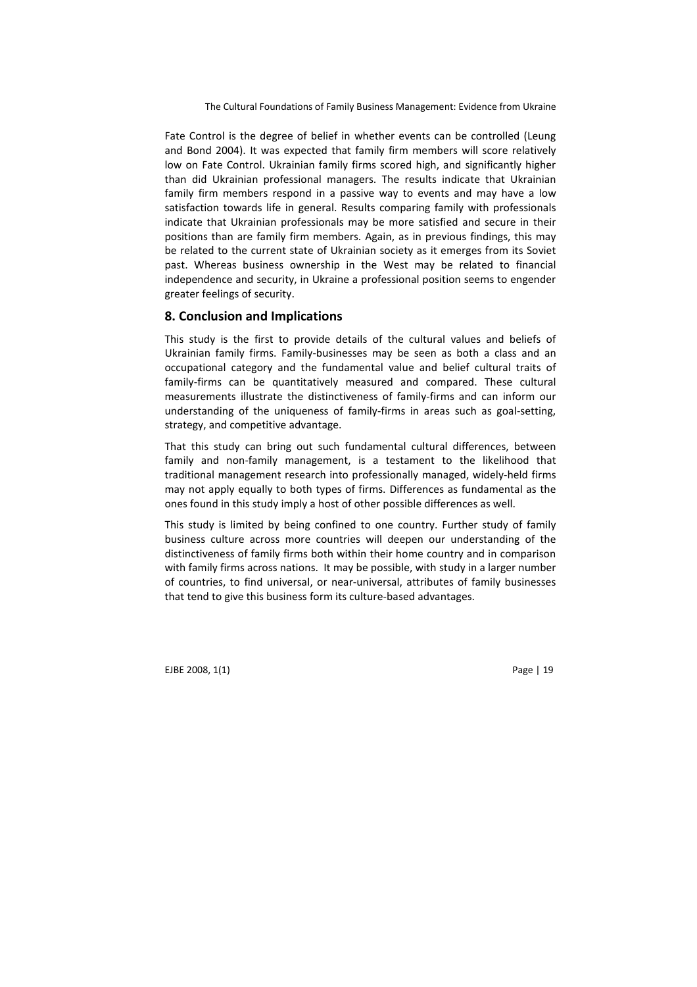Fate Control is the degree of belief in whether events can be controlled (Leung and Bond 2004). It was expected that family firm members will score relatively low on Fate Control. Ukrainian family firms scored high, and significantly higher than did Ukrainian professional managers. The results indicate that Ukrainian family firm members respond in a passive way to events and may have a low satisfaction towards life in general. Results comparing family with professionals indicate that Ukrainian professionals may be more satisfied and secure in their positions than are family firm members. Again, as in previous findings, this may be related to the current state of Ukrainian society as it emerges from its Soviet past. Whereas business ownership in the West may be related to financial independence and security, in Ukraine a professional position seems to engender greater feelings of security.

### 8. Conclusion and Implications

This study is the first to provide details of the cultural values and beliefs of Ukrainian family firms. Family-businesses may be seen as both a class and an occupational category and the fundamental value and belief cultural traits of family-firms can be quantitatively measured and compared. These cultural measurements illustrate the distinctiveness of family-firms and can inform our understanding of the uniqueness of family-firms in areas such as goal-setting, strategy, and competitive advantage.

That this study can bring out such fundamental cultural differences, between family and non-family management, is a testament to the likelihood that traditional management research into professionally managed, widely-held firms may not apply equally to both types of firms. Differences as fundamental as the ones found in this study imply a host of other possible differences as well.

This study is limited by being confined to one country. Further study of family business culture across more countries will deepen our understanding of the distinctiveness of family firms both within their home country and in comparison with family firms across nations. It may be possible, with study in a larger number of countries, to find universal, or near-universal, attributes of family businesses that tend to give this business form its culture-based advantages.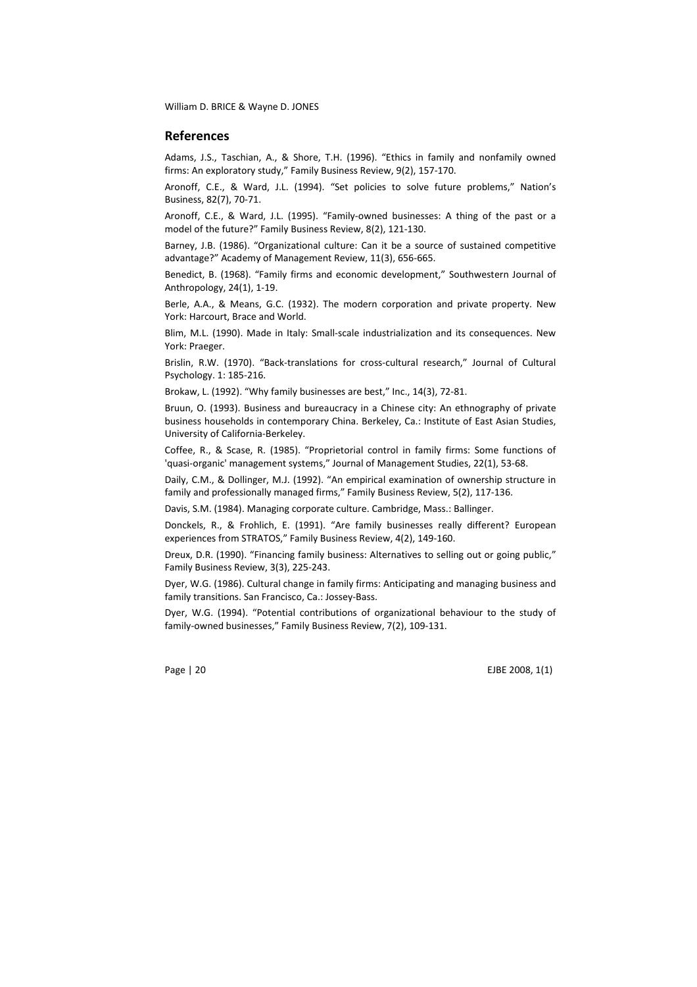### References

Adams, J.S., Taschian, A., & Shore, T.H. (1996). "Ethics in family and nonfamily owned firms: An exploratory study," Family Business Review, 9(2), 157-170.

Aronoff, C.E., & Ward, J.L. (1994). "Set policies to solve future problems," Nation's Business, 82(7), 70-71.

Aronoff, C.E., & Ward, J.L. (1995). "Family-owned businesses: A thing of the past or a model of the future?" Family Business Review, 8(2), 121-130.

Barney, J.B. (1986). "Organizational culture: Can it be a source of sustained competitive advantage?" Academy of Management Review, 11(3), 656-665.

Benedict, B. (1968). "Family firms and economic development," Southwestern Journal of Anthropology, 24(1), 1-19.

Berle, A.A., & Means, G.C. (1932). The modern corporation and private property. New York: Harcourt, Brace and World.

Blim, M.L. (1990). Made in Italy: Small-scale industrialization and its consequences. New York: Praeger.

Brislin, R.W. (1970). "Back-translations for cross-cultural research," Journal of Cultural Psychology. 1: 185-216.

Brokaw, L. (1992). "Why family businesses are best," Inc., 14(3), 72-81.

Bruun, O. (1993). Business and bureaucracy in a Chinese city: An ethnography of private business households in contemporary China. Berkeley, Ca.: Institute of East Asian Studies, University of California-Berkeley.

Coffee, R., & Scase, R. (1985). "Proprietorial control in family firms: Some functions of 'quasi-organic' management systems," Journal of Management Studies, 22(1), 53-68.

Daily, C.M., & Dollinger, M.J. (1992). "An empirical examination of ownership structure in family and professionally managed firms," Family Business Review, 5(2), 117-136.

Davis, S.M. (1984). Managing corporate culture. Cambridge, Mass.: Ballinger.

Donckels, R., & Frohlich, E. (1991). "Are family businesses really different? European experiences from STRATOS," Family Business Review, 4(2), 149-160.

Dreux, D.R. (1990). "Financing family business: Alternatives to selling out or going public," Family Business Review, 3(3), 225-243.

Dyer, W.G. (1986). Cultural change in family firms: Anticipating and managing business and family transitions. San Francisco, Ca.: Jossey-Bass.

Dyer, W.G. (1994). "Potential contributions of organizational behaviour to the study of family-owned businesses," Family Business Review, 7(2), 109-131.

Page | 20 EJBE 2008, 1(1)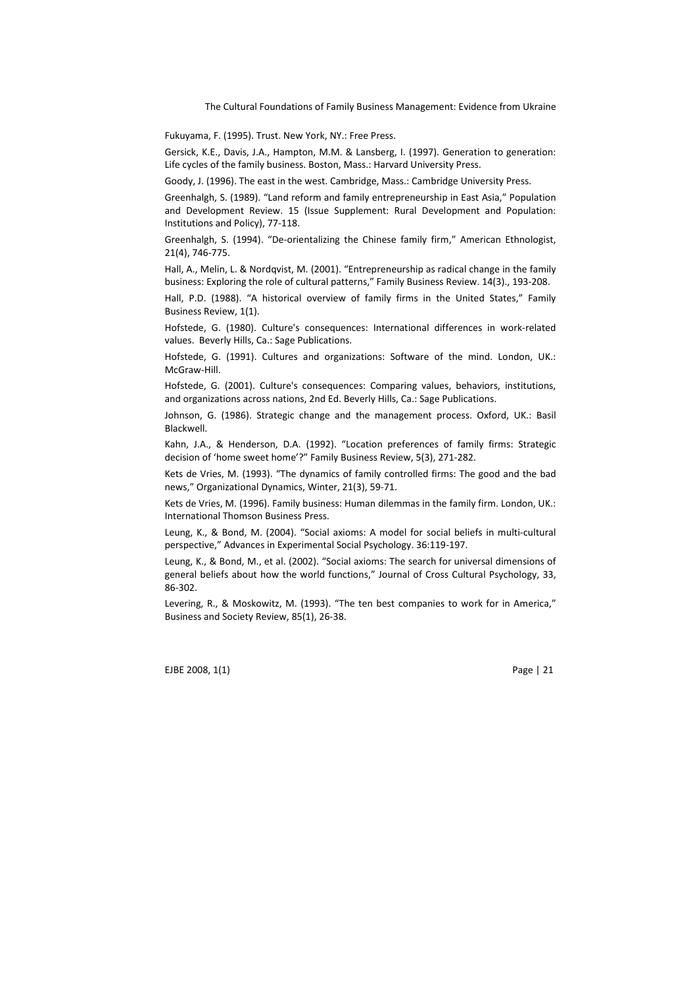Fukuyama, F. (1995). Trust. New York, NY.: Free Press.

Gersick, K.E., Davis, J.A., Hampton, M.M. & Lansberg, I. (1997). Generation to generation: Life cycles of the family business. Boston, Mass.: Harvard University Press.

Goody, J. (1996). The east in the west. Cambridge, Mass.: Cambridge University Press.

Greenhalgh, S. (1989). "Land reform and family entrepreneurship in East Asia," Population and Development Review. 15 (Issue Supplement: Rural Development and Population: Institutions and Policy), 77-118.

Greenhalgh, S. (1994). "De-orientalizing the Chinese family firm," American Ethnologist, 21(4), 746-775.

Hall, A., Melin, L. & Nordqvist, M. (2001). "Entrepreneurship as radical change in the family business: Exploring the role of cultural patterns," Family Business Review. 14(3)., 193-208.

Hall, P.D. (1988). "A historical overview of family firms in the United States," Family Business Review, 1(1).

Hofstede, G. (1980). Culture's consequences: International differences in work-related values. Beverly Hills, Ca.: Sage Publications.

Hofstede, G. (1991). Cultures and organizations: Software of the mind. London, UK.: McGraw-Hill.

Hofstede, G. (2001). Culture's consequences: Comparing values, behaviors, institutions, and organizations across nations, 2nd Ed. Beverly Hills, Ca.: Sage Publications.

Johnson, G. (1986). Strategic change and the management process. Oxford, UK.: Basil Blackwell.

Kahn, J.A., & Henderson, D.A. (1992). "Location preferences of family firms: Strategic decision of 'home sweet home'?" Family Business Review, 5(3), 271-282.

Kets de Vries, M. (1993). "The dynamics of family controlled firms: The good and the bad news," Organizational Dynamics, Winter, 21(3), 59-71.

Kets de Vries, M. (1996). Family business: Human dilemmas in the family firm. London, UK.: International Thomson Business Press.

Leung, K., & Bond, M. (2004). "Social axioms: A model for social beliefs in multi-cultural perspective," Advances in Experimental Social Psychology. 36:119-197.

Leung, K., & Bond, M., et al. (2002). "Social axioms: The search for universal dimensions of general beliefs about how the world functions," Journal of Cross Cultural Psychology, 33, 86-302.

Levering, R., & Moskowitz, M. (1993). "The ten best companies to work for in America," Business and Society Review, 85(1), 26-38.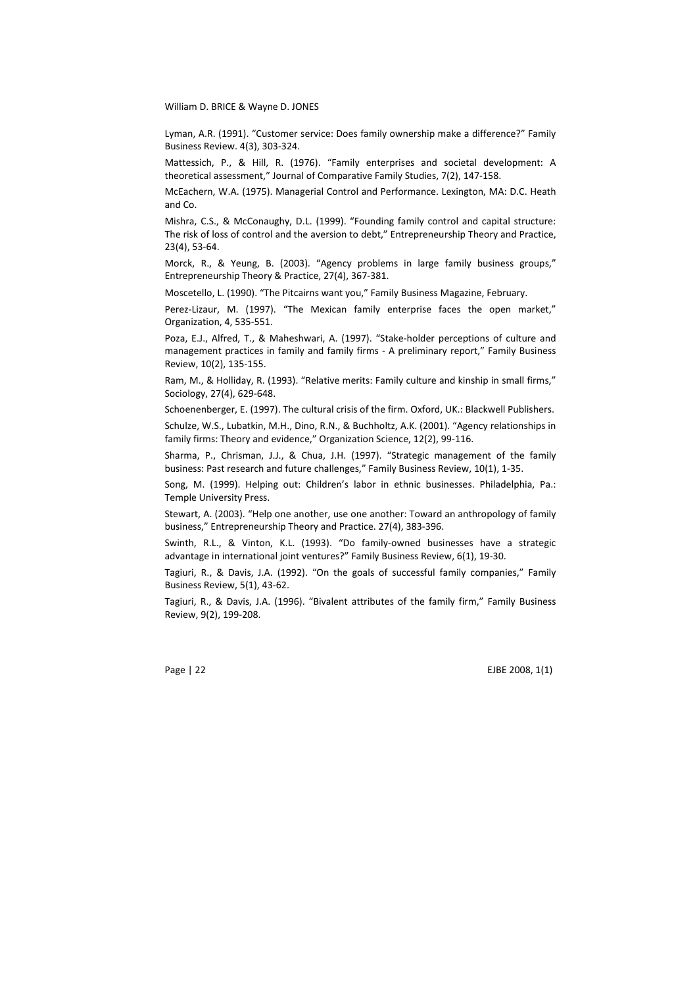Lyman, A.R. (1991). "Customer service: Does family ownership make a difference?" Family Business Review. 4(3), 303-324.

Mattessich, P., & Hill, R. (1976). "Family enterprises and societal development: A theoretical assessment," Journal of Comparative Family Studies, 7(2), 147-158.

McEachern, W.A. (1975). Managerial Control and Performance. Lexington, MA: D.C. Heath and Co.

Mishra, C.S., & McConaughy, D.L. (1999). "Founding family control and capital structure: The risk of loss of control and the aversion to debt," Entrepreneurship Theory and Practice, 23(4), 53-64.

Morck, R., & Yeung, B. (2003). "Agency problems in large family business groups," Entrepreneurship Theory & Practice, 27(4), 367-381.

Moscetello, L. (1990). "The Pitcairns want you," Family Business Magazine, February.

Perez-Lizaur, M. (1997). "The Mexican family enterprise faces the open market," Organization, 4, 535-551.

Poza, E.J., Alfred, T., & Maheshwari, A. (1997). "Stake-holder perceptions of culture and management practices in family and family firms - A preliminary report," Family Business Review, 10(2), 135-155.

Ram, M., & Holliday, R. (1993). "Relative merits: Family culture and kinship in small firms," Sociology, 27(4), 629-648.

Schoenenberger, E. (1997). The cultural crisis of the firm. Oxford, UK.: Blackwell Publishers.

Schulze, W.S., Lubatkin, M.H., Dino, R.N., & Buchholtz, A.K. (2001). "Agency relationships in family firms: Theory and evidence," Organization Science, 12(2), 99-116.

Sharma, P., Chrisman, J.J., & Chua, J.H. (1997). "Strategic management of the family business: Past research and future challenges," Family Business Review, 10(1), 1-35.

Song, M. (1999). Helping out: Children's labor in ethnic businesses. Philadelphia, Pa.: Temple University Press.

Stewart, A. (2003). "Help one another, use one another: Toward an anthropology of family business," Entrepreneurship Theory and Practice. 27(4), 383-396.

Swinth, R.L., & Vinton, K.L. (1993). "Do family-owned businesses have a strategic advantage in international joint ventures?" Family Business Review, 6(1), 19-30.

Tagiuri, R., & Davis, J.A. (1992). "On the goals of successful family companies," Family Business Review, 5(1), 43-62.

Tagiuri, R., & Davis, J.A. (1996). "Bivalent attributes of the family firm," Family Business Review, 9(2), 199-208.

Page | 22 EJBE 2008, 1(1)